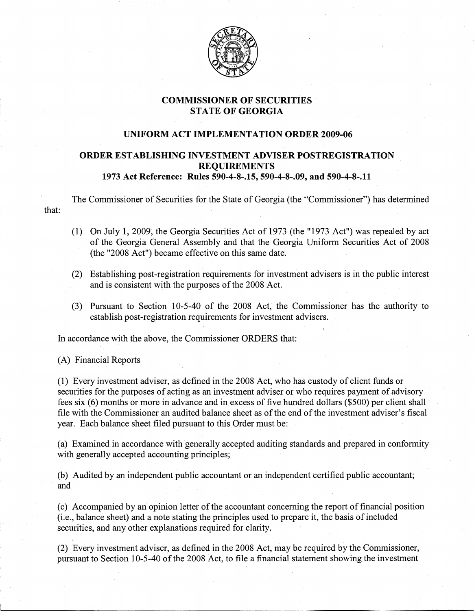

## COMMISSIONER OF SECURITIES STATE OF GEORGIA

## UNIFORM ACT IMPLEMENTATION ORDER 2009-06

## ORDER ESTABLISHING INVESTMENT ADVISER POSTREGISTRATION REQUIREMENTS 1973 Act Reference: Rules 590-4-8-.15, 590-4~8-.09, and 590-4-8-.11

The Commissioner of Securities for the State of Georgia (the "Commissioner") has determined that:

- (1)- On July 1, 2009, the Georgia Securities Act of 1973 (the "1973 Act") was repealed by act of the Georgia General Assembly and that the Georgia Uniform Securities Act of 2008 (the "2008 Act") became effective on this same date.
- (2) Establishing post-registration requirements for investment advisers is in the public interest and is consistent with the purposes of the 2008 Act.
- (3) Pursuant to Section 10-5-40 of the 2008 Act, the Commissioner has the authority to establish post-registration requirements for investment advisers.

In accordance with the above, the Commissioner ORDERS that:

(A) Financial Reports

(1) Every investment adviser, as defined in the 2008 Act, who has custody of client funds or securities for the purposes of acting as an investment adviser or who requires payment of advisory fees six (6) months or more in advance and in excess of five hundred dollars (\$500) per client shall file with the Commissioner an audited balance sheet as of the end of the investment adviser's fiscal year. Each balance sheet filed pursuant to this Order must be:

(a) Examined in accordance with generally accepted auditing standards and prepared in conformity with generally accepted accounting principles;

(b) Audited by an independent public accountant or an independent certified public accountant; and

(c) Accompanied by an opinion letter of the accountant concerning the report of financial position (i.e., balance sheet) and a note stating the principles used to prepare it, the basis ofincluded securities, and any other explanations required for clarity.

 $(2)$  Every investment adviser, as defined in the 2008 Act, may be required by the Commissioner, pursuant to Section 10-5-40 of the 2008 Act, to file a financial statement showing the investment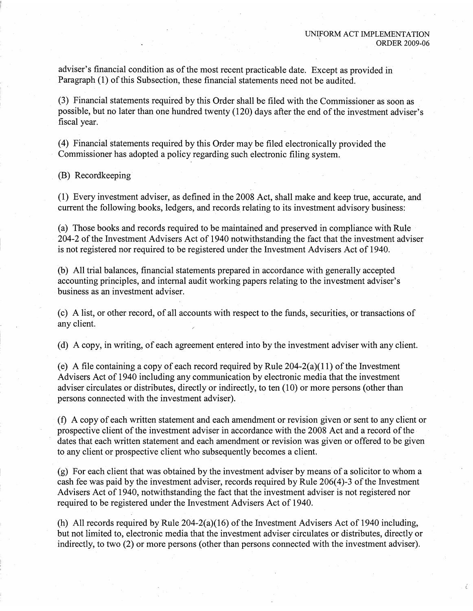adviser's financial condition as of the most recent practicable date. Except as provided in Paragraph (1) of this Subsection, these financial statements need not be audited.

(3) Financial statements required by this Order shall be filed with the Commissioner as soon as possible, but no later than one hundred twenty (120) days after the end of the investment adviser's fiscal year.

(4) Financial statements required by this Order may be filed electronically provided the Commissioner has adopted a policy regarding such electronic filing system.

(B) Recordkeeping

(1) Every investment adviser, as defined in the 2008 Act, shall make and keep true, accurate, and current the following.books, ledgers, and records relating to its investment advisory business:

(a) Those books and records required to be maintained and preserved in compliance with Rule 204-2 of the Investment Advisers Act of 1940 notwithstanding the fact that the investment adviser is not registered nor required to be registered under the Investment Advisers Act of 1940.

(b) All trial balances, financial statements prepared in accordance with generally accepted accounting principles, and internal audit working papers relating to the investment adviser's business as an investment adviser.

(c) A list, or other record, of all accounts with respect to the funds, securities, ortransactions of any client.

(d) A copy, in writing, of each agreement entered into by the investment adviser with any client.

(e) A file containing a copy of each record required by Rule  $204-2(a)(11)$  of the Investment Advisers Act of 1940 including any communication by electronic media that the investment adviser circulates or distributes, directly or indirectly, to ten (10) or more persons (other than persons connected with the investment adviser).

(f) A copy of each written statement and each amendment or revision given or sent to any client or prospective client of the investment adviser in accordance with the 2008 Act and a record of the dates that each written statement and each amendment or revision was given or offered to be given to any client or prospective client who subsequently becomes a client.

 $(g)$  For each client that was obtained by the investment adviser by means of a solicitor to whom a cash fee was paid by the investment adviser, records required by Rule 206(4)-3 of the Investment Advisers Act of 1940, notwithstanding the fact that the investment adviser is not registered nor required to be registered under the Investment Advisers Act of 1940.

(h) All records required by Rule  $204-2(a)(16)$  of the Investment Advisers Act of 1940 including, but not limited to, electronic media that the investment adviser circulates or distributes, directly or indirectly, to two (2) or more persons (other than persons connected with the investment adviser).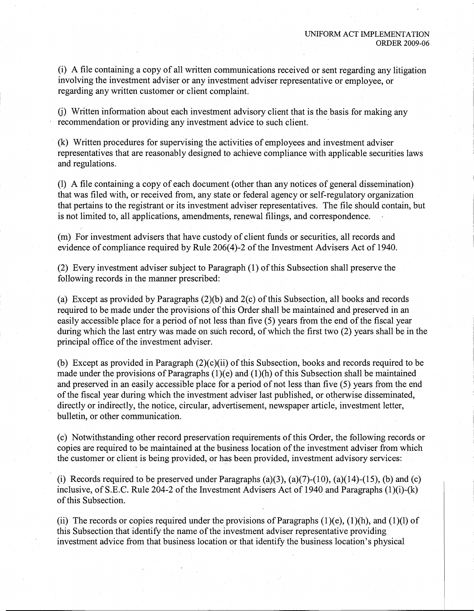(i) A file containing a copy of all written communications received or sent regarding any litigation involving the investment adviser or any investment adviser representative or employee, or regarding any written customer or client complaint.

G) Written information about each investment advisory client that is the basis; for making any recommendation or providing any investment advice to such client.

 $(k)$  Written procedures for supervising the activities of employees and investment adviser representatives that are reasonably designed to achieve compliance with applicable securities laws and regulations.

(1) A file containing a copy of each document (other than any notices of general dissemination) that was filed with, or received from, any state or federal agency or self-regulatory organization that pertains to the registrant or its investment adviser representatives. The file should contain, but is not limited to, all applications, amendments, renewal filings, and correspondence.

(m) For investment advisers that have custody of client funds or securities, all records and evidence of compliance required by Rule 206(4)-2 of the Investment Advisers Act of 1940.

(2) Every investment adviser subject to Paragraph  $(1)$  of this Subsection shall preserve the following records in the manner prescribed:

(a) Except as provided by Paragraphs  $(2)(b)$  and  $2(c)$  of this Subsection, all books and records required to be made under the provisions of this Order shall be maintained and preserved in an easily accessible place for a period of not less than five (5) years from the end of the fiscal year during which the last entry was made on such record, of which the first two (2) years shall be in the principal office of the investment adviser.

(b) Except as provided in Paragraph  $(2)(c)(ii)$  of this Subsection, books and records required to be made under the provisions of Paragraphs  $(1)(e)$  and  $(1)(h)$  of this Subsection shall be maintained and preserved in an easily accessible place for a period of not less than five (5) years from the end of the fiscal year during which the investment adviser last published, or otherwise disseminated, directly or indirectly, the notice, circular, advertisement, newspaper article, investment letter, bulletin, or other communication.

(c) Notwithstanding other record preservation requirements of this Order, the following records or copies are required to be maintained at the business location of the investment adviser from which the customer or client is being provided, or has been provided, investment advisory services:

(i) Records required to be preserved under Paragraphs (a)(3), (a)(7)-(10), (a)(14)-(15), (b) and (c) inclusive, of S.E.C. Rule 204-2 of the Investment Advisers Act of 1940 and Paragraphs  $(1)(i)-(k)$ of this Subsection.

(ii) The records or copies required under the provisions of Paragraphs  $(1)(e)$ ,  $(1)(h)$ , and  $(1)(l)$  of this Subsection that identify the name of the investment adviser representative providing investment advice from that business location or that identify the business location's physical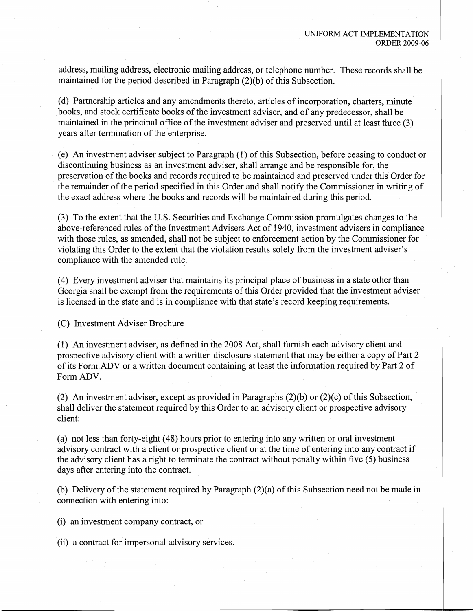address, mailing address, electronic mailing address, or telephone number. These records shall be maintained for the period described in Paragraph  $(2)(b)$  of this Subsection.

(d) Partnership articles and any amendments thereto, articles of incorporation, charters, minute books, and stock certificate books of the investment adviser, and of any predecessor, shall be maintained in the principal office of the investment adviser and preserved until at least three (3) years after termination of the enterprise.

(e) An investment adviser subject to Paragraph (1) of this Subsection, before ceasing to conduct or discontinuing business as an investment adviser, shall arrange and be responsible for, the preservation of the books and records required to be maintained and preserved under this Order for the remainder of the period specified in this Order and shall notify the Commissioner in writing of the exact address where the books and records will be maintained during this period.

(3) To the extent that the U.S. Securities and Exchange Commission promulgates changes to the above-referenced rules of the Investment Advisers Act of 1940, investment advisers in compliance with those rules, as amended, shall not be subject to enforcement action by the Commissioner for violating this Order to the extent that the violation results solely from the investment adviser's compliance with the amended rule.

(4) Every investment adviser that maintains its principal place of business in a state other than Georgia shall be exempt from the requirements of this Order provided that the investment adviser is licensed in the state and is in compliance with that state's record keeping requirements.

(C) Investment Adviser Brochure

(1) An investment adviser, as defined in the 2008 Act, shall furnish each advisory client and prospective advisory client with a written disclosure statement that may be either a copy of Part 2 of its FormADV or a written document containing at least the information required by Part 2 of FormADV.

(2) An investment adviser, except as provided in Paragraphs  $(2)(b)$  or  $(2)(c)$  of this Subsection, shall deliver the statement required by this Order to an advisory client or prospective advisory client:

(a) not less than forty-eight (48) hours prior to entering into any written or oral investment advisory contract with a client or prospective client or at the time of entering into any contract if the advisory client has a right to terminate the contract without penalty within five  $(5)$  business days after entering into the contract.

(b) Delivery of the statement required by Paragraph (2)(a) of this Subsection need not be made in connection with entering into:

(i) an investment company contract, or

(ii) a contract for impersonal advisory services.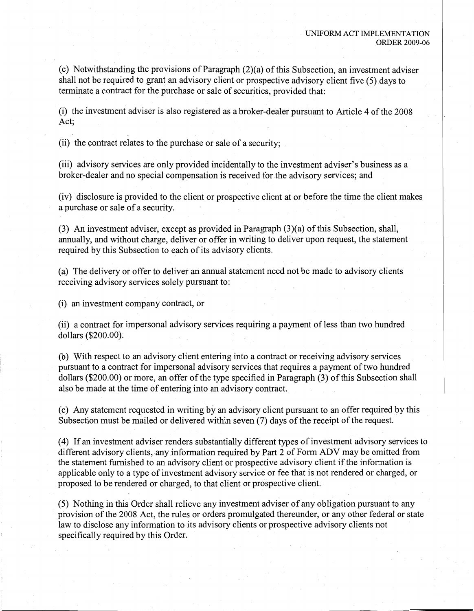(c) Notwithstanding the provisions of Paragraph  $(2)(a)$  of this Subsection, an investment adviser shall not be required to grant an advisory client or prospective advisory client five (5) days to terminate a contract for the purchase or sale of securities, provided that:

 $(i)$  the investment adviser is also registered as a broker-dealer pursuant to Article 4 of the 2008  $\det$ ;

(ii) the contract relates to the purchase or sale of a security;

(iii) advisory services are only provided incidentally to the investment adviser's business as a broker-dealer and no special compensation is received for the advisory services; and

(iv) disclosure is provided to the client or prospective client at or before the time the client makes a purchase or sale of a security.

(3) An investment adviser, except as provided in Paragraph  $(3)(a)$  of this Subsection, shall, annually, and without charge, deliver or offer in writing to deliver upon request, the statement required by this Subsection to each of its advisory clients.

(a) The delivery or offer to deliver an annual statement need not be made to advisory clients receiving advisory services solely pursuant to:

 $(i)$  an investment company contract, or

(ii) a contract for impersonal advisory services requiring a payment of less than two hundred dollars (\$200.00).

(b) With respect to an advisory client entering into a contract or receiving advisory services pursuant to a contract for impersonal advisory services that requires a payment of two hundred dollars  $(\$200.00)$  or more, an offer of the type specified in Paragraph  $(3)$  of this Subsection shall also be made at the time of entering into an advisory contract.

(c) Ally statement requested in writing by an advisory client pursuant to an offer required by this Subsection must be mailed or delivered within seven (7) days of the receipt of the request.

(4) If an investment adviser renders substantially different types of investment advisory services to different advisory clients, any information required by Part 2 of Form ADV may be omitted from the statement furnished to an advisory client or prospective advisory client if the information is applicable only to a type of investment advisory service or fee that is not rendered or charged, or proposed to be rendered or charged, to that client or prospective client.

(5) Nothing in this Order shall relieve any investment adviser of any obligation pursuant to any provision of the 2008 Act, the rules or orders promulgated thereunder, or any other federal or state law to disclose any information to its advisory clients or prospective advisory clients not specifically required by this Order.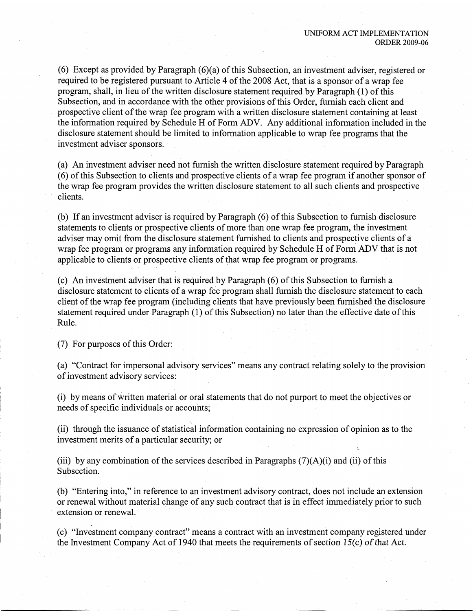(6) Except as provided by Paragraph  $(6)(a)$  of this Subsection, an investment adviser, registered or required to be registered pursuant to Article 4 of the 2008 Act, that is a sponsor of a wrap fee program, shall, in lieu of the written disclosure statement required by Paragraph (1) of this Subsection, and in accordance with the other provisions of this Order, furnish each client and prospective client of the wrap fee program with a written disclosure statement containing at least the information required by Schedule H of Form ADV. Any additional information included in the disclosure statement should be limited to information applicable to wrap fee programs that the investment adviser sponsors.

(a) An investment adviser need not furnish the written disclosure statement required by Paragraph (6) of this Subsection to clients and prospective clients of a wrap fee program if another sponsor of the wrap fee program provides the written disclosure statement to all such clients and prospective clients.

(b) If an investment adviser is required by Paragraph (6) of this Subsection to furnish disclosure statements to clients or prospective clients of more than one wrap fee program, the investment adviser may omit from the disclosure statement furnished to clients and prospective clients of a wrap fee program or programs any information required by Schedule H of Form ADV that is not applicable to clients or prospective clients of that wrap fee program or programs.

(c) An investment adviser that is required by Paragraph (6) of this Subsection to furnish a disclosure statement to clients of a wrap fee program shall furnish the disclosure statement to each client of the wrap fee program (including clients that have previously been furnished the disclosure statement required under Paragraph (1) of this Subsection) no later than the effective date of this Rule.

(7) For purposes of this Order:

(a) "Contract for impersonal advisory services" means any contract relating solely to the provision of investment advisory services:

(i) by means ofwritten material or oral statements that do not purport to meet the objectives or needs of specific individuals or accounts;

(ii) through the issuance of statistical information containing no expression of opinion as to the investment merits of a particular security; or

(iii) by any combination of the services described in Paragraphs  $(7)(A)(i)$  and (ii) of this Subsection.

(b) "Entering into," in reference to an investment advisory contract, does not include an extension or renewal without material change of any such contract that is in effect immediately prior to such extension or renewal.

(c) "Investment company contract" means a contract with an investment company registered under the Investment Company Act of 1940 that meets the requirements of section  $15(c)$  of that Act.